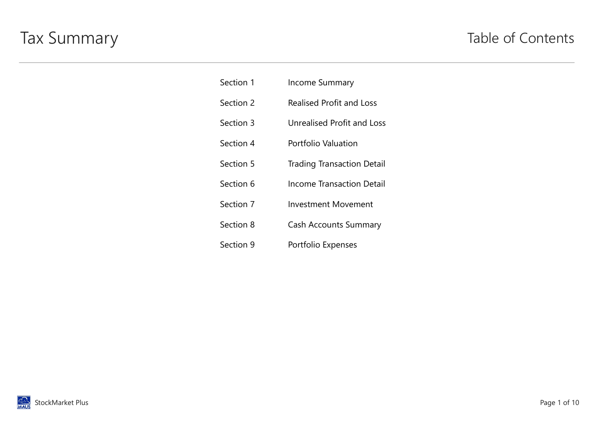# Tax Summary Table of Contents

| Section 1 | <b>Income Summary</b>             |
|-----------|-----------------------------------|
| Section 2 | <b>Realised Profit and Loss</b>   |
| Section 3 | <b>Unrealised Profit and Loss</b> |
| Section 4 | Portfolio Valuation               |
| Section 5 | <b>Trading Transaction Detail</b> |
| Section 6 | Income Transaction Detail         |
| Section 7 | <b>Investment Movement</b>        |
| Section 8 | <b>Cash Accounts Summary</b>      |
| Section 9 | Portfolio Expenses                |

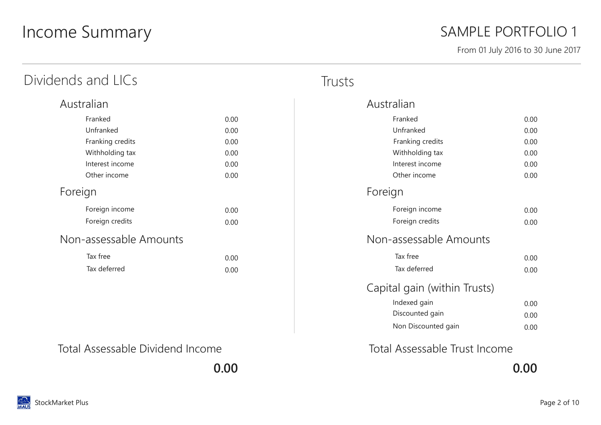# Income Summary

### SAMPLE PORTFOLIO 1

From 01 July 2016 to 30 June 2017

| Dividends and LICs     |      | Trusts |
|------------------------|------|--------|
| Australian             |      |        |
| Franked                | 0.00 |        |
| Unfranked              | 0.00 |        |
| Franking credits       | 0.00 |        |
| Withholding tax        | 0.00 |        |
| Interest income        | 0.00 |        |
| Other income           | 0.00 |        |
| Foreign                |      |        |
| Foreign income         | 0.00 |        |
| Foreign credits        | 0.00 |        |
| Non-assessable Amounts |      |        |
| Tax free               | 0.00 |        |
| Tax deferred           | 0.00 |        |
|                        |      |        |
|                        |      |        |

| Australian                   |      |
|------------------------------|------|
| Franked                      | 0.00 |
| Unfranked                    | 0.00 |
| Franking credits             | 0.00 |
| Withholding tax              | 0.00 |
| Interest income              | 0.00 |
| Other income                 | 0.00 |
| Foreign                      |      |
| Foreign income               | 0.00 |
| Foreign credits              | 0.00 |
| Non-assessable Amounts       |      |
| Tax free                     | 0.00 |
| Tax deferred                 | 0.00 |
| Capital gain (within Trusts) |      |
| Indexed gain                 | 0.00 |
| Discounted gain              | 0.00 |
| Non Discounted gain          | 0.00 |
|                              |      |

0.00 0.00

Total Assessable Dividend Income Total Assessable Trust Income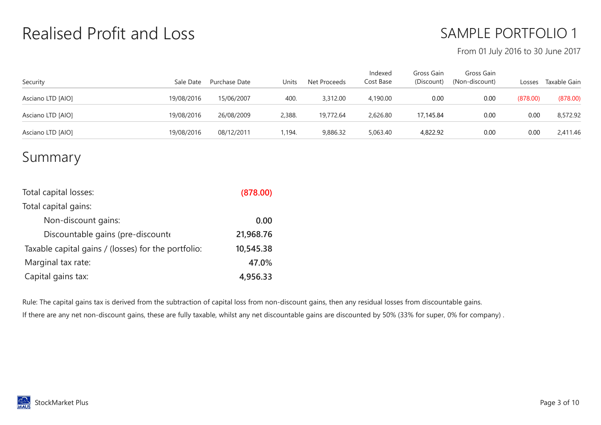# Realised Profit and Loss

## SAMPLE PORTFOLIO 1

#### From 01 July 2016 to 30 June 2017

| Security          | Sale Date  | Purchase Date | Units  | Net Proceeds | Indexed<br>Cost Base | Gross Gain<br>(Discount) | Gross Gain<br>(Non-discount) | Losses   | Taxable Gain |
|-------------------|------------|---------------|--------|--------------|----------------------|--------------------------|------------------------------|----------|--------------|
| Asciano LTD [AIO] | 19/08/2016 | 15/06/2007    | 400.   | 3,312.00     | 4,190.00             | 0.00                     | 0.00                         | (878.00) | (878.00)     |
| Asciano LTD [AIO] | 19/08/2016 | 26/08/2009    | 2,388. | 19,772.64    | 2,626.80             | 17,145.84                | 0.00                         | 0.00     | 8,572.92     |
| Asciano LTD [AIO] | 19/08/2016 | 08/12/2011    | 1,194. | 9,886.32     | 5,063.40             | 4,822.92                 | 0.00                         | 0.00     | 2,411.46     |

#### Summary

| Total capital losses:                               | (878.00)  |
|-----------------------------------------------------|-----------|
| Total capital gains:                                |           |
| Non-discount gains:                                 | 0.00      |
| Discountable gains (pre-discounte                   | 21,968.76 |
| Taxable capital gains / (losses) for the portfolio: | 10,545.38 |
| Marginal tax rate:                                  | 47.0%     |
| Capital gains tax:                                  | 4,956.33  |

Rule: The capital gains tax is derived from the subtraction of capital loss from non-discount gains, then any residual losses from discountable gains. If there are any net non-discount gains, these are fully taxable, whilst any net discountable gains are discounted by 50% (33% for super, 0% for company) .

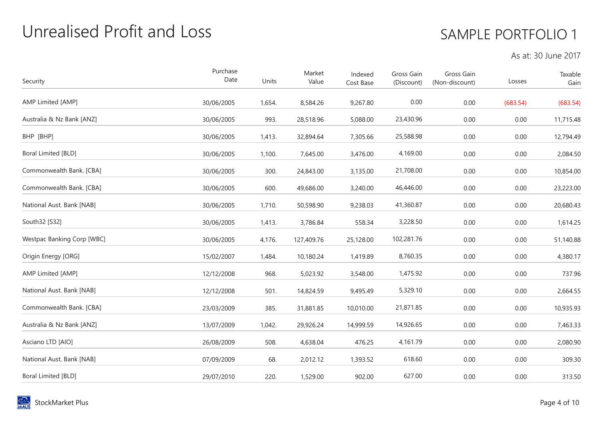# Unrealised Profit and Loss

## SAMPLE PORTFOLIO 1

#### As at: 30 June 2017

| Security                          | Purchase<br>Date | Units  | Market<br>Value | Indexed<br>Cost Base | Gross Gain<br>(Discount) | Gross Gain<br>(Non-discount) | Losses   | Taxable<br>Gain |
|-----------------------------------|------------------|--------|-----------------|----------------------|--------------------------|------------------------------|----------|-----------------|
| AMP Limited [AMP]                 | 30/06/2005       | 1,654. | 8,584.26        | 9,267.80             | 0.00                     | 0.00                         | (683.54) | (683.54)        |
| Australia & Nz Bank [ANZ]         | 30/06/2005       | 993.   | 28,518.96       | 5,088.00             | 23,430.96                | 0.00                         | 0.00     | 11,715.48       |
| BHP [BHP]                         | 30/06/2005       | 1,413. | 32,894.64       | 7,305.66             | 25,588.98                | 0.00                         | 0.00     | 12,794.49       |
| Boral Limited [BLD]               | 30/06/2005       | 1,100. | 7,645.00        | 3,476.00             | 4,169.00                 | 0.00                         | 0.00     | 2,084.50        |
| Commonwealth Bank. [CBA]          | 30/06/2005       | 300.   | 24,843.00       | 3,135.00             | 21,708.00                | 0.00                         | 0.00     | 10,854.00       |
| Commonwealth Bank. [CBA]          | 30/06/2005       | 600.   | 49,686.00       | 3,240.00             | 46,446.00                | 0.00                         | 0.00     | 23,223.00       |
| National Aust. Bank [NAB]         | 30/06/2005       | 1,710. | 50,598.90       | 9,238.03             | 41,360.87                | 0.00                         | 0.00     | 20,680.43       |
| South32 [S32]                     | 30/06/2005       | 1,413. | 3,786.84        | 558.34               | 3,228.50                 | 0.00                         | 0.00     | 1,614.25        |
| <b>Westpac Banking Corp [WBC]</b> | 30/06/2005       | 4,176. | 127,409.76      | 25,128.00            | 102,281.76               | 0.00                         | 0.00     | 51,140.88       |
| Origin Energy [ORG]               | 15/02/2007       | 1,484. | 10,180.24       | 1,419.89             | 8,760.35                 | 0.00                         | 0.00     | 4,380.17        |
| AMP Limited [AMP]                 | 12/12/2008       | 968.   | 5,023.92        | 3,548.00             | 1,475.92                 | 0.00                         | 0.00     | 737.96          |
| National Aust. Bank [NAB]         | 12/12/2008       | 501.   | 14,824.59       | 9,495.49             | 5,329.10                 | 0.00                         | 0.00     | 2,664.55        |
| Commonwealth Bank. [CBA]          | 23/03/2009       | 385.   | 31,881.85       | 10,010.00            | 21,871.85                | 0.00                         | 0.00     | 10,935.93       |
| Australia & Nz Bank [ANZ]         | 13/07/2009       | 1,042. | 29,926.24       | 14,999.59            | 14,926.65                | 0.00                         | 0.00     | 7,463.33        |
| Asciano LTD [AIO]                 | 26/08/2009       | 508.   | 4,638.04        | 476.25               | 4,161.79                 | 0.00                         | 0.00     | 2,080.90        |
| National Aust. Bank [NAB]         | 07/09/2009       | 68.    | 2,012.12        | 1,393.52             | 618.60                   | 0.00                         | 0.00     | 309.30          |
| Boral Limited [BLD]               | 29/07/2010       | 220.   | 1,529.00        | 902.00               | 627.00                   | 0.00                         | 0.00     | 313.50          |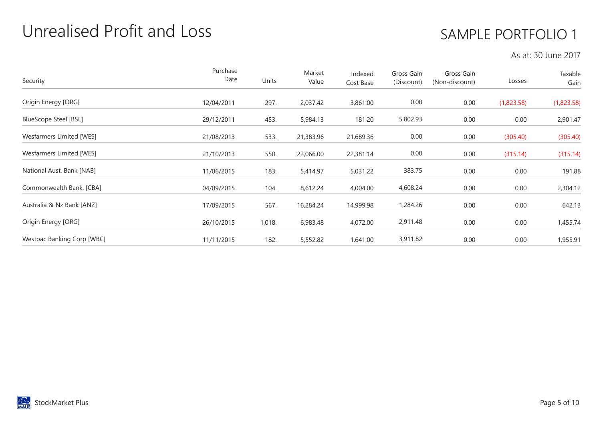# Unrealised Profit and Loss

## SAMPLE PORTFOLIO 1

#### As at: 30 June 2017

| Security                     | Purchase<br>Date | Units  | Market<br>Value | Indexed<br>Cost Base | Gross Gain<br>(Discount) | Gross Gain<br>(Non-discount) | Losses     | Taxable<br>Gain |
|------------------------------|------------------|--------|-----------------|----------------------|--------------------------|------------------------------|------------|-----------------|
| Origin Energy [ORG]          | 12/04/2011       | 297.   | 2,037.42        | 3,861.00             | 0.00                     | 0.00                         | (1,823.58) | (1,823.58)      |
| <b>BlueScope Steel [BSL]</b> | 29/12/2011       | 453.   | 5,984.13        | 181.20               | 5,802.93                 | 0.00                         | 0.00       | 2,901.47        |
| Wesfarmers Limited [WES]     | 21/08/2013       | 533.   | 21,383.96       | 21,689.36            | 0.00                     | 0.00                         | (305.40)   | (305.40)        |
| Wesfarmers Limited [WES]     | 21/10/2013       | 550.   | 22,066.00       | 22,381.14            | 0.00                     | 0.00                         | (315.14)   | (315.14)        |
| National Aust. Bank [NAB]    | 11/06/2015       | 183.   | 5,414.97        | 5,031.22             | 383.75                   | 0.00                         | 0.00       | 191.88          |
| Commonwealth Bank. [CBA]     | 04/09/2015       | 104.   | 8,612.24        | 4,004.00             | 4,608.24                 | 0.00                         | 0.00       | 2,304.12        |
| Australia & Nz Bank [ANZ]    | 17/09/2015       | 567.   | 16,284.24       | 14,999.98            | 1,284.26                 | 0.00                         | 0.00       | 642.13          |
| Origin Energy [ORG]          | 26/10/2015       | 1,018. | 6,983.48        | 4,072.00             | 2,911.48                 | 0.00                         | 0.00       | 1,455.74        |
| Westpac Banking Corp [WBC]   | 11/11/2015       | 182.   | 5,552.82        | 1,641.00             | 3,911.82                 | 0.00                         | 0.00       | 1,955.91        |

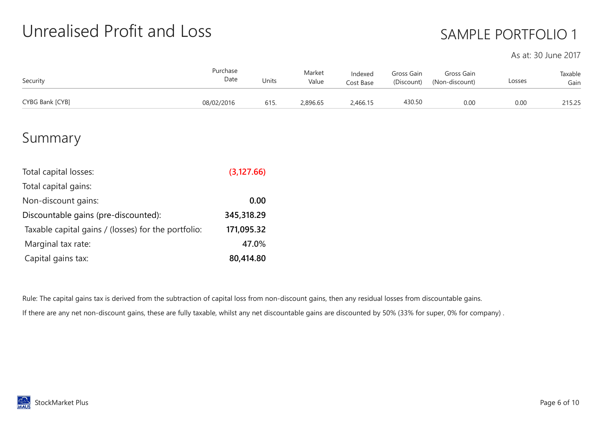# Unrealised Profit and Loss

## SAMPLE PORTFOLIO 1

As at: 30 June 2017

| Security        | Purchase<br>Date | Units | Market<br>Value | Indexed<br>Cost Base | Gross Gain<br>(Discount) | Gross Gain<br>(Non-discount) | Losses | Taxable<br>Gain |
|-----------------|------------------|-------|-----------------|----------------------|--------------------------|------------------------------|--------|-----------------|
| CYBG Bank [CYB] | 08/02/2016       | 615.  | 2,896.65        | 2,466.15             | 430.50                   | 0.00                         | 0.00   | 215.25          |

#### Summary

| Total capital losses:                               | (3, 127.66) |
|-----------------------------------------------------|-------------|
| Total capital gains:                                |             |
| Non-discount gains:                                 | 0.00        |
| Discountable gains (pre-discounted):                | 345,318.29  |
| Taxable capital gains / (losses) for the portfolio: | 171,095.32  |
| Marginal tax rate:                                  | 47.0%       |
| Capital gains tax:                                  | 80,414.80   |

Rule: The capital gains tax is derived from the subtraction of capital loss from non-discount gains, then any residual losses from discountable gains. If there are any net non-discount gains, these are fully taxable, whilst any net discountable gains are discounted by 50% (33% for super, 0% for company) .

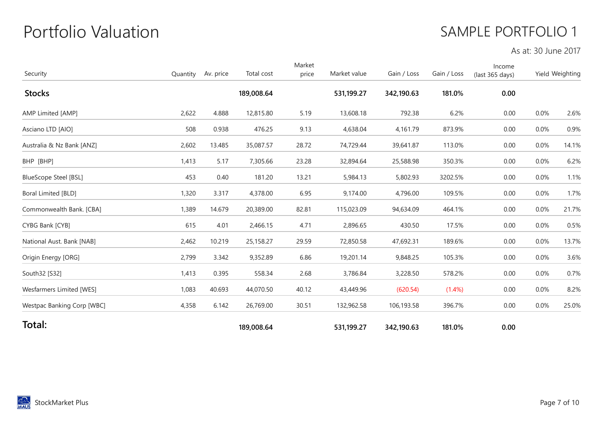# Portfolio Valuation

#### SAMPLE PORTFOLIO 1

As at: 30 June 2017

| Security                     | Quantity | Av. price | Total cost | Market<br>price | Market value | Gain / Loss | Gain / Loss | Income<br>(last 365 days) |      | Yield Weighting |
|------------------------------|----------|-----------|------------|-----------------|--------------|-------------|-------------|---------------------------|------|-----------------|
| <b>Stocks</b>                |          |           | 189,008.64 |                 | 531,199.27   | 342,190.63  | 181.0%      | 0.00                      |      |                 |
| AMP Limited [AMP]            | 2,622    | 4.888     | 12,815.80  | 5.19            | 13,608.18    | 792.38      | 6.2%        | 0.00                      | 0.0% | 2.6%            |
| Asciano LTD [AIO]            | 508      | 0.938     | 476.25     | 9.13            | 4,638.04     | 4,161.79    | 873.9%      | 0.00                      | 0.0% | 0.9%            |
| Australia & Nz Bank [ANZ]    | 2,602    | 13.485    | 35,087.57  | 28.72           | 74,729.44    | 39,641.87   | 113.0%      | 0.00                      | 0.0% | 14.1%           |
| BHP [BHP]                    | 1,413    | 5.17      | 7,305.66   | 23.28           | 32,894.64    | 25,588.98   | 350.3%      | 0.00                      | 0.0% | 6.2%            |
| <b>BlueScope Steel [BSL]</b> | 453      | 0.40      | 181.20     | 13.21           | 5,984.13     | 5,802.93    | 3202.5%     | 0.00                      | 0.0% | 1.1%            |
| Boral Limited [BLD]          | 1,320    | 3.317     | 4,378.00   | 6.95            | 9,174.00     | 4,796.00    | 109.5%      | 0.00                      | 0.0% | 1.7%            |
| Commonwealth Bank. [CBA]     | 1,389    | 14.679    | 20,389.00  | 82.81           | 115,023.09   | 94,634.09   | 464.1%      | 0.00                      | 0.0% | 21.7%           |
| CYBG Bank [CYB]              | 615      | 4.01      | 2,466.15   | 4.71            | 2,896.65     | 430.50      | 17.5%       | 0.00                      | 0.0% | 0.5%            |
| National Aust. Bank [NAB]    | 2,462    | 10.219    | 25,158.27  | 29.59           | 72,850.58    | 47,692.31   | 189.6%      | 0.00                      | 0.0% | 13.7%           |
| Origin Energy [ORG]          | 2,799    | 3.342     | 9,352.89   | 6.86            | 19,201.14    | 9,848.25    | 105.3%      | 0.00                      | 0.0% | 3.6%            |
| South 32 [S32]               | 1,413    | 0.395     | 558.34     | 2.68            | 3,786.84     | 3,228.50    | 578.2%      | 0.00                      | 0.0% | 0.7%            |
| Wesfarmers Limited [WES]     | 1,083    | 40.693    | 44,070.50  | 40.12           | 43,449.96    | (620.54)    | (1.4%)      | 0.00                      | 0.0% | 8.2%            |
| Westpac Banking Corp [WBC]   | 4,358    | 6.142     | 26,769.00  | 30.51           | 132,962.58   | 106,193.58  | 396.7%      | 0.00                      | 0.0% | 25.0%           |
| Total:                       |          |           | 189,008.64 |                 | 531,199.27   | 342,190.63  | 181.0%      | 0.00                      |      |                 |

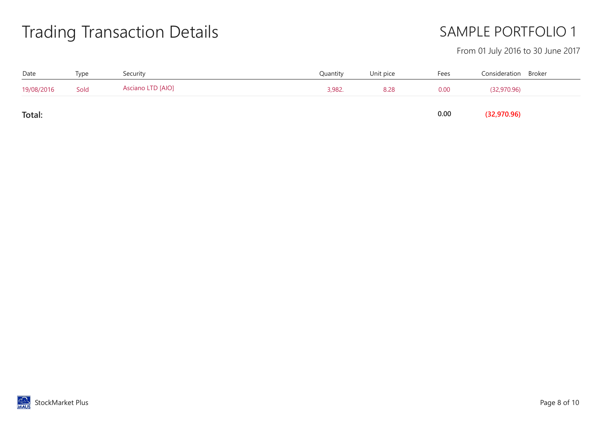# Trading Transaction Details

## SAMPLE PORTFOLIO 1

#### From 01 July 2016 to 30 June 2017

| Date       | Type | Security          | Quantity | Unit pice | Fees | Consideration Broker |  |
|------------|------|-------------------|----------|-----------|------|----------------------|--|
| 19/08/2016 | Sold | Asciano LTD [AIO] | 3,982.   | 8.28      | 0.00 | (32,970.96)          |  |
| Total:     |      |                   |          |           | 0.00 | (32,970.96)          |  |

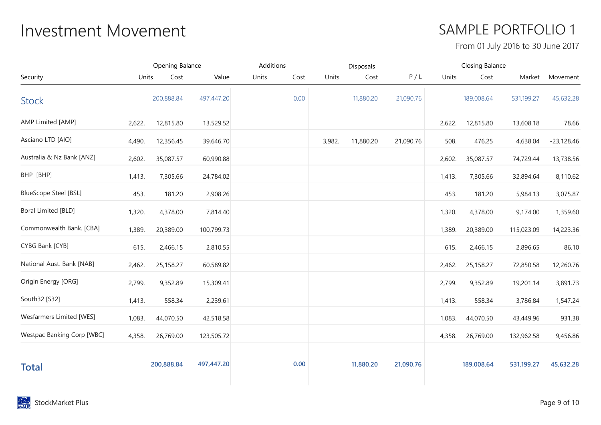# Investment Movement **Investment** SAMPLE PORTFOLIO 1

From 01 July 2016 to 30 June 2017

|                              | Opening Balance |            |            | Additions     |        | Disposals |           |        | <b>Closing Balance</b> |            |              |
|------------------------------|-----------------|------------|------------|---------------|--------|-----------|-----------|--------|------------------------|------------|--------------|
| Security                     | Units           | Cost       | Value      | Units<br>Cost | Units  | Cost      | P/L       | Units  | Cost                   | Market     | Movement     |
| <b>Stock</b>                 |                 | 200,888.84 | 497,447.20 | 0.00          |        | 11,880.20 | 21,090.76 |        | 189,008.64             | 531,199.27 | 45,632.28    |
| AMP Limited [AMP]            | 2,622.          | 12,815.80  | 13,529.52  |               |        |           |           | 2,622. | 12,815.80              | 13,608.18  | 78.66        |
| Asciano LTD [AIO]            | 4,490.          | 12,356.45  | 39,646.70  |               | 3,982. | 11,880.20 | 21,090.76 | 508.   | 476.25                 | 4,638.04   | $-23,128.46$ |
| Australia & Nz Bank [ANZ]    | 2,602.          | 35,087.57  | 60,990.88  |               |        |           |           | 2,602. | 35,087.57              | 74,729.44  | 13,738.56    |
| BHP [BHP]                    | 1,413.          | 7,305.66   | 24,784.02  |               |        |           |           | 1,413. | 7,305.66               | 32,894.64  | 8,110.62     |
| <b>BlueScope Steel [BSL]</b> | 453.            | 181.20     | 2,908.26   |               |        |           |           | 453.   | 181.20                 | 5,984.13   | 3,075.87     |
| Boral Limited [BLD]          | 1,320.          | 4,378.00   | 7,814.40   |               |        |           |           | 1,320. | 4,378.00               | 9,174.00   | 1,359.60     |
| Commonwealth Bank. [CBA]     | 1,389.          | 20,389.00  | 100,799.73 |               |        |           |           | 1,389. | 20,389.00              | 115,023.09 | 14,223.36    |
| CYBG Bank [CYB]              | 615.            | 2,466.15   | 2,810.55   |               |        |           |           | 615.   | 2,466.15               | 2,896.65   | 86.10        |
| National Aust. Bank [NAB]    | 2,462.          | 25,158.27  | 60,589.82  |               |        |           |           | 2,462. | 25,158.27              | 72,850.58  | 12,260.76    |
| Origin Energy [ORG]          | 2,799.          | 9,352.89   | 15,309.41  |               |        |           |           | 2,799. | 9,352.89               | 19,201.14  | 3,891.73     |
| South32 [S32]                | 1,413.          | 558.34     | 2,239.61   |               |        |           |           | 1,413. | 558.34                 | 3,786.84   | 1,547.24     |
| Wesfarmers Limited [WES]     | 1,083.          | 44,070.50  | 42,518.58  |               |        |           |           | 1,083. | 44,070.50              | 43,449.96  | 931.38       |
| Westpac Banking Corp [WBC]   | 4,358.          | 26,769.00  | 123,505.72 |               |        |           |           | 4,358. | 26,769.00              | 132,962.58 | 9,456.86     |
| <b>Total</b>                 |                 | 200,888.84 | 497,447.20 | 0.00          |        | 11,880.20 | 21,090.76 |        | 189,008.64             | 531,199.27 | 45,632.28    |